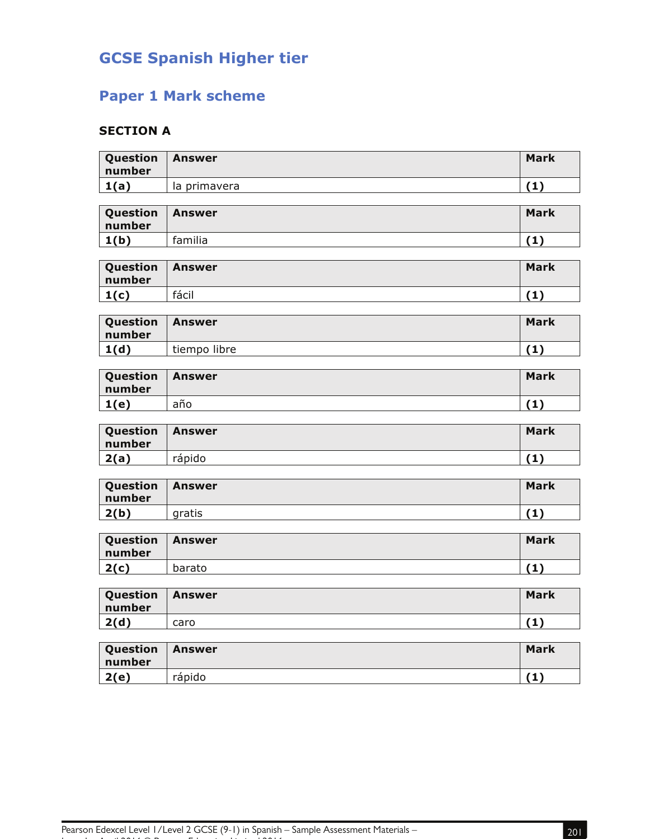## **GCSE Spanish Higher tier**

## **Paper 1 Mark scheme**

## **SECTION A**

| Question<br>number | <b>Answer</b> | <b>Mark</b> |
|--------------------|---------------|-------------|
| 1(a)               | la primavera  | (1)         |
|                    |               |             |
| Question<br>number | <b>Answer</b> | <b>Mark</b> |
| 1(b)               | familia       | (1)         |
|                    |               |             |
| Question<br>number | <b>Answer</b> | <b>Mark</b> |
| 1(c)               | fácil         | (1)         |
|                    |               |             |
| Question<br>number | <b>Answer</b> | <b>Mark</b> |
| 1(d)               | tiempo libre  | (1)         |
|                    |               |             |
| Question<br>number | <b>Answer</b> | <b>Mark</b> |
| 1(e)               | año           | (1)         |
|                    |               |             |
| Question<br>number | <b>Answer</b> | <b>Mark</b> |
| 2(a)               | rápido        | (1)         |
|                    |               |             |
| Question<br>number | <b>Answer</b> | <b>Mark</b> |
| 2(b)               | gratis        | (1)         |
|                    |               |             |
| Question<br>number | <b>Answer</b> | <b>Mark</b> |
| 2(c)               | barato        | (1)         |
|                    |               |             |
| Question<br>number | <b>Answer</b> | <b>Mark</b> |
| 2(d)               | caro          | (1)         |
|                    |               |             |
| Question<br>number | <b>Answer</b> | <b>Mark</b> |

**2(e)** rápido **(1)** 

Issue 1 – April 2016 © Pearson Education Limited 2016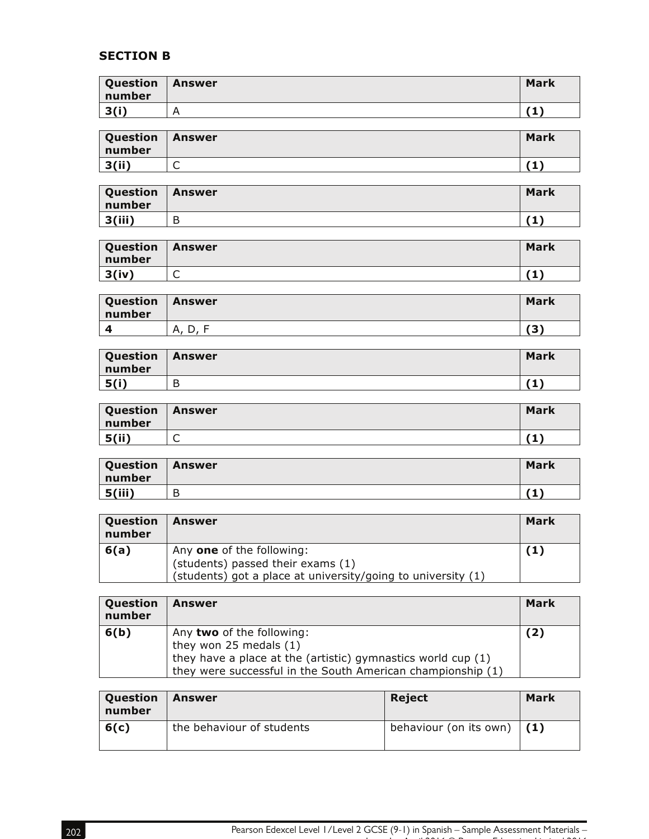## **SECTION B**

| Question<br>number | Answer | <b>Mark</b> |
|--------------------|--------|-------------|
| 3(i)               |        |             |

| Question<br>number | Answer | <b>Mark</b> |
|--------------------|--------|-------------|
| 3(ii)              | ∽<br>֊ |             |

| Question<br>number | Answer | <b>Mark</b> |
|--------------------|--------|-------------|
| 3(iii)             | D<br>D | 74          |

| Question<br>number | Answer | <b>Mark</b> |
|--------------------|--------|-------------|
| 3(iv)              | ∽<br>∼ | 74.<br>л.   |

| Question<br>number | Answer      | <b>Mark</b>       |
|--------------------|-------------|-------------------|
|                    | А.<br>ا ، ب | $\mathbf{A}$<br>- |

| Question<br>number | <b>Answer</b> | <b>Mark</b> |
|--------------------|---------------|-------------|
| 5(i)               | D             | -41         |

| Question<br>number | <b>Answer</b> | <b>Mark</b> |
|--------------------|---------------|-------------|
| 5(ii)              | ◡             | ۰.          |

| Question   Answer<br>number |        | <b>Mark</b> |
|-----------------------------|--------|-------------|
| 5(iii)                      | D<br>D | .           |

| Question<br>number | <b>Answer</b>                                                                                                                  | Mark |
|--------------------|--------------------------------------------------------------------------------------------------------------------------------|------|
| 6(a)               | Any one of the following:<br>(students) passed their exams (1)<br>(students) got a place at university/going to university (1) | (1)  |

| Question<br>number | <b>Answer</b>                                                                                                                                                                          | Mark |
|--------------------|----------------------------------------------------------------------------------------------------------------------------------------------------------------------------------------|------|
| 6(b)               | Any two of the following:<br>they won $25$ medals $(1)$<br>they have a place at the (artistic) gymnastics world cup (1)<br>they were successful in the South American championship (1) | (2)  |

| Question<br>number | Answer                    | Reject                       | Mark |
|--------------------|---------------------------|------------------------------|------|
| 6(c)               | the behaviour of students | behaviour (on its own) $(1)$ |      |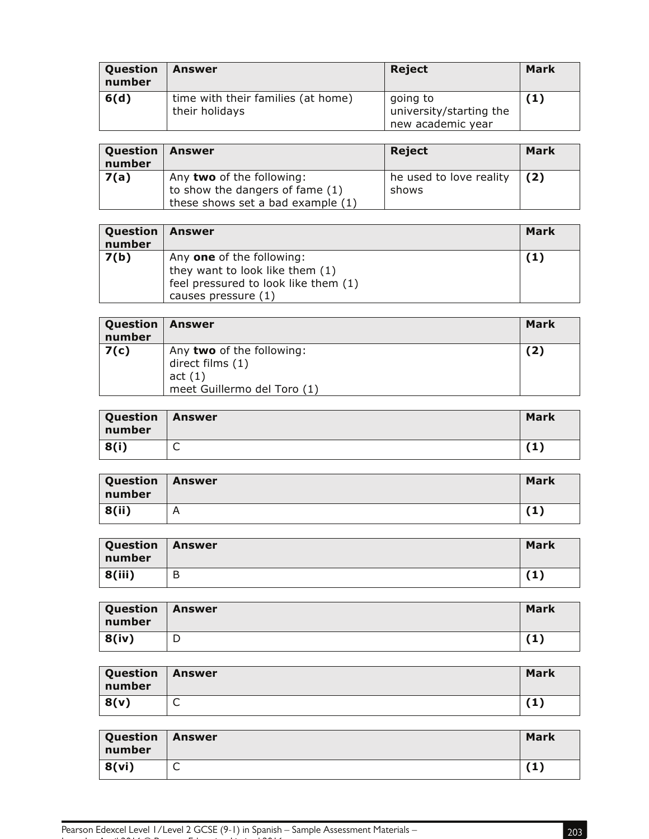| Question<br>number | Answer                                               | Reject                                                   | Mark |
|--------------------|------------------------------------------------------|----------------------------------------------------------|------|
| 6(d)               | time with their families (at home)<br>their holidays | going to<br>university/starting the<br>new academic year | 【1】  |

| Question<br>number | Answer                                                                                            | Reject                           | Mark |
|--------------------|---------------------------------------------------------------------------------------------------|----------------------------------|------|
| 7(a)               | Any two of the following:<br>to show the dangers of fame (1)<br>these shows set a bad example (1) | he used to love reality<br>shows | (2)  |

| Question<br>number | Answer                                                                                                                      | Mark |
|--------------------|-----------------------------------------------------------------------------------------------------------------------------|------|
| 7(b)               | Any one of the following:<br>they want to look like them (1)<br>feel pressured to look like them (1)<br>causes pressure (1) | (1)  |

| Question<br>number | Answer                                                                                 | Mark |
|--------------------|----------------------------------------------------------------------------------------|------|
| 7(c)               | Any two of the following:<br>direct films (1)<br>act(1)<br>meet Guillermo del Toro (1) | (2)  |

| Question<br>number | <b>Answer</b> | <b>Mark</b> |
|--------------------|---------------|-------------|
| 8(i)               | ∽<br>ั        | (1)         |

| Question   Answer<br>number |   | <b>Mark</b> |
|-----------------------------|---|-------------|
| 8(ii)                       | A | 74.<br>ж.   |

| <b>Question</b><br>number | Answer | <b>Mark</b> |
|---------------------------|--------|-------------|
| 8(iii)                    | Β      | (1)         |

| Question   Answer<br>number |   | <b>Mark</b> |
|-----------------------------|---|-------------|
| 8(iv)                       | ◡ | (1)         |

| <b>Question</b><br>number | Answer | <b>Mark</b>        |
|---------------------------|--------|--------------------|
| 8(v)                      | ∽<br>ั | <b>74 Y</b><br>. . |

| Question<br>number | <b>Answer</b> | <b>Mark</b> |
|--------------------|---------------|-------------|
| 8(vi)              | ∽<br>ั        | 74 '<br>÷,  |